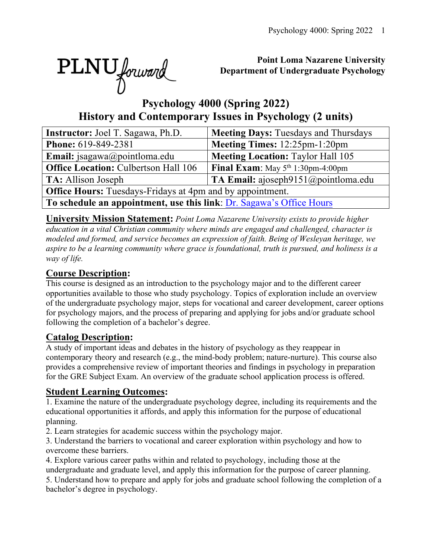

# **Point Loma Nazarene University Department of Undergraduate Psychology**

# **Psychology 4000 (Spring 2022) History and Contemporary Issues in Psychology (2 units)**

| <b>Instructor:</b> Joel T. Sagawa, Ph.D.                             | <b>Meeting Days: Tuesdays and Thursdays</b> |  |  |  |  |  |  |
|----------------------------------------------------------------------|---------------------------------------------|--|--|--|--|--|--|
| Phone: 619-849-2381                                                  | Meeting Times: 12:25pm-1:20pm               |  |  |  |  |  |  |
| <b>Email:</b> jsagawa@pointloma.edu                                  | <b>Meeting Location: Taylor Hall 105</b>    |  |  |  |  |  |  |
| <b>Office Location: Culbertson Hall 106</b>                          | <b>Final Exam:</b> May $5th 1:30pm-4:00pm$  |  |  |  |  |  |  |
| TA: Allison Joseph                                                   | TA Email: ajoseph $9151$ (@pointloma.edu    |  |  |  |  |  |  |
| <b>Office Hours:</b> Tuesdays-Fridays at 4pm and by appointment.     |                                             |  |  |  |  |  |  |
| To schedule an appointment, use this link: Dr. Sagawa's Office Hours |                                             |  |  |  |  |  |  |

**University Mission Statement:** *Point Loma Nazarene University exists to provide higher education in a vital Christian community where minds are engaged and challenged, character is modeled and formed, and service becomes an expression of faith. Being of Wesleyan heritage, we aspire to be a learning community where grace is foundational, truth is pursued, and holiness is a way of life.*

# **Course Description:**

This course is designed as an introduction to the psychology major and to the different career opportunities available to those who study psychology. Topics of exploration include an overview of the undergraduate psychology major, steps for vocational and career development, career options for psychology majors, and the process of preparing and applying for jobs and/or graduate school following the completion of a bachelor's degree.

# **Catalog Description:**

A study of important ideas and debates in the history of psychology as they reappear in contemporary theory and research (e.g., the mind-body problem; nature-nurture). This course also provides a comprehensive review of important theories and findings in psychology in preparation for the GRE Subject Exam. An overview of the graduate school application process is offered.

# **Student Learning Outcomes:**

1. Examine the nature of the undergraduate psychology degree, including its requirements and the educational opportunities it affords, and apply this information for the purpose of educational planning.

2. Learn strategies for academic success within the psychology major.

3. Understand the barriers to vocational and career exploration within psychology and how to overcome these barriers.

4. Explore various career paths within and related to psychology, including those at the undergraduate and graduate level, and apply this information for the purpose of career planning.

5. Understand how to prepare and apply for jobs and graduate school following the completion of a bachelor's degree in psychology.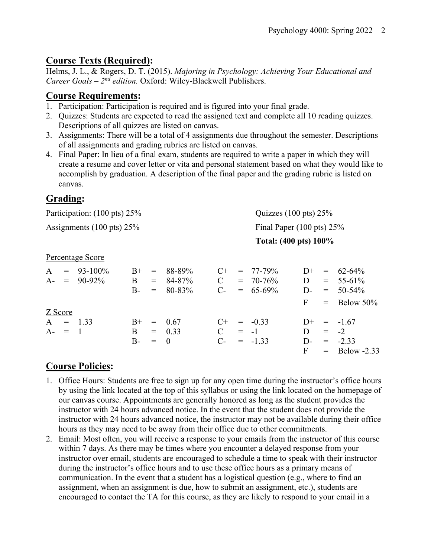# **Course Texts (Required):**

Helms, J. L., & Rogers, D. T. (2015). *Majoring in Psychology: Achieving Your Educational and Career Goals – 2nd edition.* Oxford: Wiley-Blackwell Publishers.

# **Course Requirements:**

- 1. Participation: Participation is required and is figured into your final grade.
- 2. Quizzes: Students are expected to read the assigned text and complete all 10 reading quizzes. Descriptions of all quizzes are listed on canvas.
- 3. Assignments: There will be a total of 4 assignments due throughout the semester. Descriptions of all assignments and grading rubrics are listed on canvas.
- 4. Final Paper: In lieu of a final exam, students are required to write a paper in which they will create a resume and cover letter or vita and personal statement based on what they would like to accomplish by graduation. A description of the final paper and the grading rubric is listed on canvas.

# **Grading:**

| Participation: (100 pts) 25%                  |                        |                    |                                               |                            |                                      | Quizzes $(100 \text{ pts}) 25\%$ |                                               |                                   |                          |                                                        |  |
|-----------------------------------------------|------------------------|--------------------|-----------------------------------------------|----------------------------|--------------------------------------|----------------------------------|-----------------------------------------------|-----------------------------------|--------------------------|--------------------------------------------------------|--|
| Assignments $(100 \text{ pts}) 25\%$          |                        |                    |                                               |                            | Final Paper $(100 \text{ pts}) 25\%$ |                                  |                                               |                                   |                          |                                                        |  |
|                                               |                        |                    |                                               |                            | Total: (400 pts) 100%                |                                  |                                               |                                   |                          |                                                        |  |
| Percentage Score                              |                        |                    |                                               |                            |                                      |                                  |                                               |                                   |                          |                                                        |  |
| A<br>$=$<br>$A-$<br>$\alpha = \alpha$         | $93 - 100\%$<br>90-92% | $B+$<br>B<br>$B -$ | $=$<br>$=$<br>$=$                             | 88-89%<br>84-87%<br>80-83% | $C+$<br>$\mathbf C$<br>$C-$          |                                  | $= 77 - 79\%$<br>$= 70 - 76\%$<br>$= 65-69\%$ | $D+$<br>D<br>$D-$<br>$\mathbf{F}$ | $=$<br>$=$<br>$=$<br>$=$ | $62 - 64\%$<br>$55-61%$<br>$50 - 54\%$<br>Below $50\%$ |  |
| Z Score<br>$\mathbf{A}$<br>$=$<br>$A-$<br>$=$ | 1.33<br>$\blacksquare$ | $B+$<br>B<br>$B-$  | $\displaystyle \qquad \qquad =$<br>$=$<br>$=$ | 0.67<br>0.33<br>$\theta$   | $C_{\pm}$<br>$\mathcal{C}$<br>$C$ -  | $= -1$                           | $= -0.33$<br>$= -1.33$                        | $D+$<br>D<br>$D -$<br>F           | $=$<br>$= -2$<br>$=$     | $-1.67$<br>$= -2.33$<br>Below $-2.33$                  |  |

# **Course Policies:**

- 1. Office Hours: Students are free to sign up for any open time during the instructor's office hours by using the link located at the top of this syllabus or using the link located on the homepage of our canvas course. Appointments are generally honored as long as the student provides the instructor with 24 hours advanced notice. In the event that the student does not provide the instructor with 24 hours advanced notice, the instructor may not be available during their office hours as they may need to be away from their office due to other commitments.
- 2. Email: Most often, you will receive a response to your emails from the instructor of this course within 7 days. As there may be times where you encounter a delayed response from your instructor over email, students are encouraged to schedule a time to speak with their instructor during the instructor's office hours and to use these office hours as a primary means of communication. In the event that a student has a logistical question (e.g., where to find an assignment, when an assignment is due, how to submit an assignment, etc.), students are encouraged to contact the TA for this course, as they are likely to respond to your email in a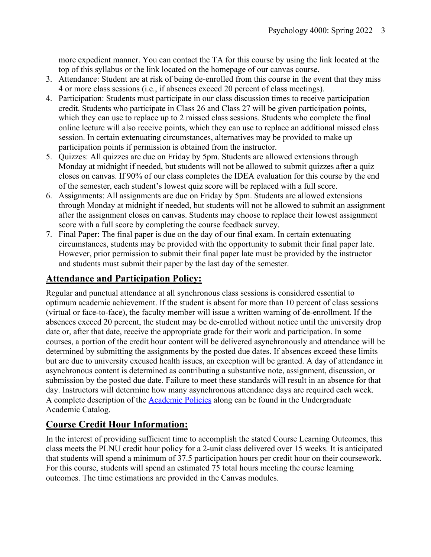more expedient manner. You can contact the TA for this course by using the link located at the top of this syllabus or the link located on the homepage of our canvas course.

- 3. Attendance: Student are at risk of being de-enrolled from this course in the event that they miss 4 or more class sessions (i.e., if absences exceed 20 percent of class meetings).
- 4. Participation: Students must participate in our class discussion times to receive participation credit. Students who participate in Class 26 and Class 27 will be given participation points, which they can use to replace up to 2 missed class sessions. Students who complete the final online lecture will also receive points, which they can use to replace an additional missed class session. In certain extenuating circumstances, alternatives may be provided to make up participation points if permission is obtained from the instructor.
- 5. Quizzes: All quizzes are due on Friday by 5pm. Students are allowed extensions through Monday at midnight if needed, but students will not be allowed to submit quizzes after a quiz closes on canvas. If 90% of our class completes the IDEA evaluation for this course by the end of the semester, each student's lowest quiz score will be replaced with a full score.
- 6. Assignments: All assignments are due on Friday by 5pm. Students are allowed extensions through Monday at midnight if needed, but students will not be allowed to submit an assignment after the assignment closes on canvas. Students may choose to replace their lowest assignment score with a full score by completing the course feedback survey.
- 7. Final Paper: The final paper is due on the day of our final exam. In certain extenuating circumstances, students may be provided with the opportunity to submit their final paper late. However, prior permission to submit their final paper late must be provided by the instructor and students must submit their paper by the last day of the semester.

# **Attendance and Participation Policy:**

Regular and punctual attendance at all synchronous class sessions is considered essential to optimum academic achievement. If the student is absent for more than 10 percent of class sessions (virtual or face-to-face), the faculty member will issue a written warning of de-enrollment. If the absences exceed 20 percent, the student may be de-enrolled without notice until the university drop date or, after that date, receive the appropriate grade for their work and participation. In some courses, a portion of the credit hour content will be delivered asynchronously and attendance will be determined by submitting the assignments by the posted due dates. If absences exceed these limits but are due to university excused health issues, an exception will be granted. A day of attendance in asynchronous content is determined as contributing a substantive note, assignment, discussion, or submission by the posted due date. Failure to meet these standards will result in an absence for that day. Instructors will determine how many asynchronous attendance days are required each week. A complete description of the Academic Policies along can be found in the Undergraduate Academic Catalog.

# **Course Credit Hour Information:**

In the interest of providing sufficient time to accomplish the stated Course Learning Outcomes, this class meets the PLNU credit hour policy for a 2-unit class delivered over 15 weeks. It is anticipated that students will spend a minimum of 37.5 participation hours per credit hour on their coursework. For this course, students will spend an estimated 75 total hours meeting the course learning outcomes. The time estimations are provided in the Canvas modules.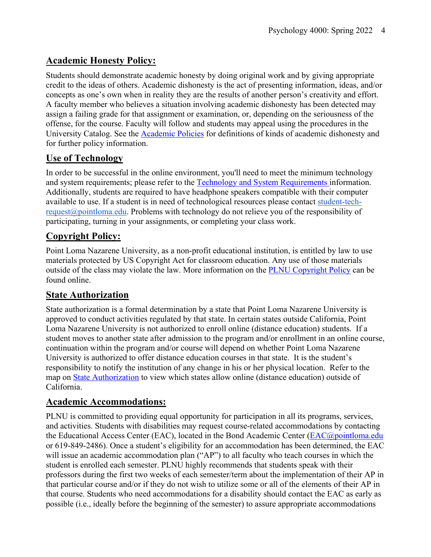# **Academic Honesty Policy:**

Students should demonstrate academic honesty by doing original work and by giving appropriate credit to the ideas of others. Academic dishonesty is the act of presenting information, ideas, and/or concepts as one's own when in reality they are the results of another person's creativity and effort. A faculty member who believes a situation involving academic dishonesty has been detected may assign a failing grade for that assignment or examination, or, depending on the seriousness of the offense, for the course. Faculty will follow and students may appeal using the procedures in the University Catalog. See the Academic Policies for definitions of kinds of academic dishonesty and for further policy information.

# **Use of Technology**

In order to be successful in the online environment, you'll need to meet the minimum technology and system requirements; please refer to the Technology and System Requirements information. Additionally, students are required to have headphone speakers compatible with their computer available to use. If a student is in need of technological resources please contact student-techrequest@pointloma.edu. Problems with technology do not relieve you of the responsibility of participating, turning in your assignments, or completing your class work.

# **Copyright Policy:**

Point Loma Nazarene University, as a non-profit educational institution, is entitled by law to use materials protected by US Copyright Act for classroom education. Any use of those materials outside of the class may violate the law. More information on the PLNU Copyright Policy can be found online.

# **State Authorization**

State authorization is a formal determination by a state that Point Loma Nazarene University is approved to conduct activities regulated by that state. In certain states outside California, Point Loma Nazarene University is not authorized to enroll online (distance education) students. If a student moves to another state after admission to the program and/or enrollment in an online course, continuation within the program and/or course will depend on whether Point Loma Nazarene University is authorized to offer distance education courses in that state. It is the student's responsibility to notify the institution of any change in his or her physical location. Refer to the map on State Authorization to view which states allow online (distance education) outside of California.

# **Academic Accommodations:**

PLNU is committed to providing equal opportunity for participation in all its programs, services, and activities. Students with disabilities may request course-related accommodations by contacting the Educational Access Center (EAC), located in the Bond Academic Center (EAC@pointloma.edu or 619-849-2486). Once a student's eligibility for an accommodation has been determined, the EAC will issue an academic accommodation plan ("AP") to all faculty who teach courses in which the student is enrolled each semester. PLNU highly recommends that students speak with their professors during the first two weeks of each semester/term about the implementation of their AP in that particular course and/or if they do not wish to utilize some or all of the elements of their AP in that course. Students who need accommodations for a disability should contact the EAC as early as possible (i.e., ideally before the beginning of the semester) to assure appropriate accommodations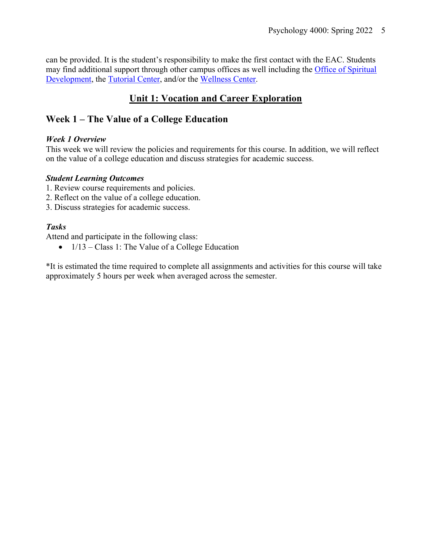can be provided. It is the student's responsibility to make the first contact with the EAC. Students may find additional support through other campus offices as well including the Office of Spiritual Development, the Tutorial Center, and/or the Wellness Center.

# **Unit 1: Vocation and Career Exploration**

# **Week 1 – The Value of a College Education**

#### *Week 1 Overview*

This week we will review the policies and requirements for this course. In addition, we will reflect on the value of a college education and discuss strategies for academic success.

#### *Student Learning Outcomes*

- 1. Review course requirements and policies.
- 2. Reflect on the value of a college education.
- 3. Discuss strategies for academic success.

### *Tasks*

Attend and participate in the following class:

 $\bullet$  1/13 – Class 1: The Value of a College Education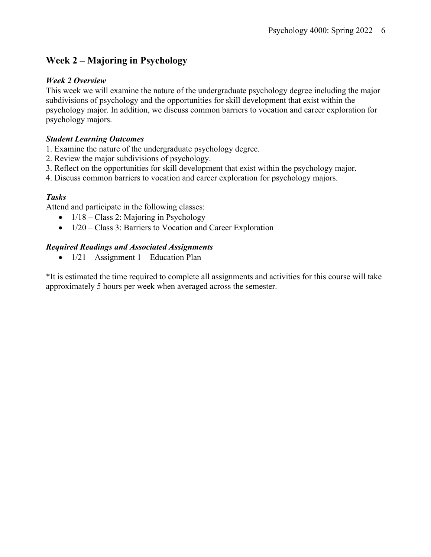# **Week 2 – Majoring in Psychology**

### *Week 2 Overview*

This week we will examine the nature of the undergraduate psychology degree including the major subdivisions of psychology and the opportunities for skill development that exist within the psychology major. In addition, we discuss common barriers to vocation and career exploration for psychology majors.

### *Student Learning Outcomes*

- 1. Examine the nature of the undergraduate psychology degree.
- 2. Review the major subdivisions of psychology.
- 3. Reflect on the opportunities for skill development that exist within the psychology major.
- 4. Discuss common barriers to vocation and career exploration for psychology majors.

### *Tasks*

Attend and participate in the following classes:

- $1/18 Class 2$ : Majoring in Psychology
- 1/20 Class 3: Barriers to Vocation and Career Exploration

### *Required Readings and Associated Assignments*

•  $1/21$  – Assignment 1 – Education Plan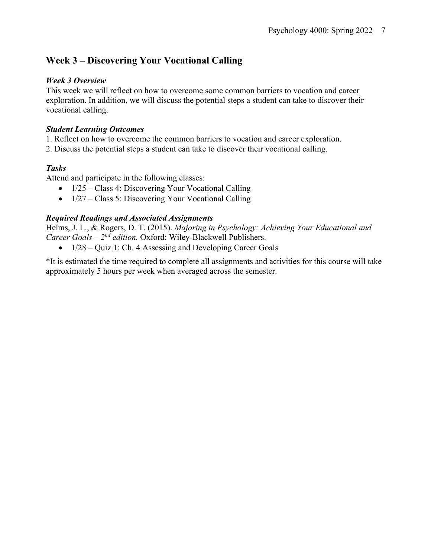# **Week 3 – Discovering Your Vocational Calling**

### *Week 3 Overview*

This week we will reflect on how to overcome some common barriers to vocation and career exploration. In addition, we will discuss the potential steps a student can take to discover their vocational calling.

### *Student Learning Outcomes*

- 1. Reflect on how to overcome the common barriers to vocation and career exploration.
- 2. Discuss the potential steps a student can take to discover their vocational calling.

## *Tasks*

Attend and participate in the following classes:

- 1/25 Class 4: Discovering Your Vocational Calling
- 1/27 Class 5: Discovering Your Vocational Calling

### *Required Readings and Associated Assignments*

Helms, J. L., & Rogers, D. T. (2015). *Majoring in Psychology: Achieving Your Educational and Career Goals – 2nd edition.* Oxford: Wiley-Blackwell Publishers.

• 1/28 – Quiz 1: Ch. 4 Assessing and Developing Career Goals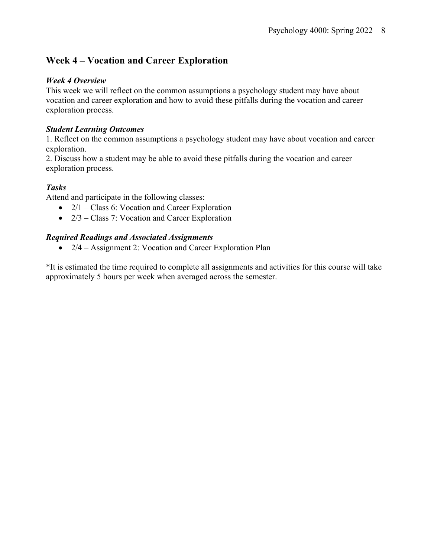# **Week 4 – Vocation and Career Exploration**

#### *Week 4 Overview*

This week we will reflect on the common assumptions a psychology student may have about vocation and career exploration and how to avoid these pitfalls during the vocation and career exploration process.

#### *Student Learning Outcomes*

1. Reflect on the common assumptions a psychology student may have about vocation and career exploration.

2. Discuss how a student may be able to avoid these pitfalls during the vocation and career exploration process.

### *Tasks*

Attend and participate in the following classes:

- 2/1 Class 6: Vocation and Career Exploration
- 2/3 Class 7: Vocation and Career Exploration

### *Required Readings and Associated Assignments*

• 2/4 – Assignment 2: Vocation and Career Exploration Plan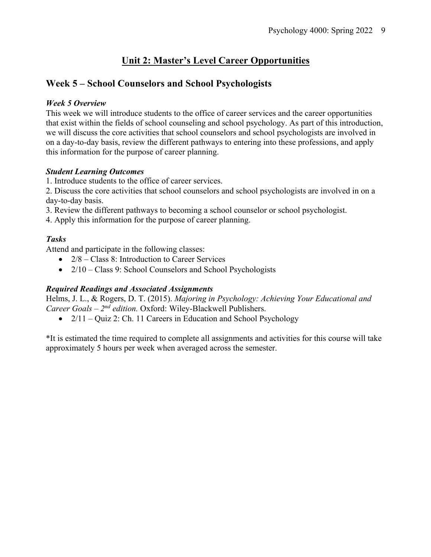# **Unit 2: Master's Level Career Opportunities**

# **Week 5 – School Counselors and School Psychologists**

#### *Week 5 Overview*

This week we will introduce students to the office of career services and the career opportunities that exist within the fields of school counseling and school psychology. As part of this introduction, we will discuss the core activities that school counselors and school psychologists are involved in on a day-to-day basis, review the different pathways to entering into these professions, and apply this information for the purpose of career planning.

#### *Student Learning Outcomes*

1. Introduce students to the office of career services.

2. Discuss the core activities that school counselors and school psychologists are involved in on a day-to-day basis.

3. Review the different pathways to becoming a school counselor or school psychologist.

4. Apply this information for the purpose of career planning.

### *Tasks*

Attend and participate in the following classes:

- 2/8 Class 8: Introduction to Career Services
- 2/10 Class 9: School Counselors and School Psychologists

### *Required Readings and Associated Assignments*

Helms, J. L., & Rogers, D. T. (2015). *Majoring in Psychology: Achieving Your Educational and Career Goals – 2nd edition.* Oxford: Wiley-Blackwell Publishers.

•  $2/11 - Quiz$  2: Ch. 11 Careers in Education and School Psychology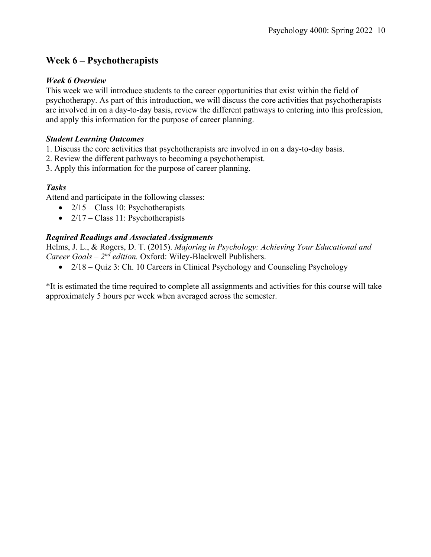# **Week 6 – Psychotherapists**

### *Week 6 Overview*

This week we will introduce students to the career opportunities that exist within the field of psychotherapy. As part of this introduction, we will discuss the core activities that psychotherapists are involved in on a day-to-day basis, review the different pathways to entering into this profession, and apply this information for the purpose of career planning.

### *Student Learning Outcomes*

- 1. Discuss the core activities that psychotherapists are involved in on a day-to-day basis.
- 2. Review the different pathways to becoming a psychotherapist.
- 3. Apply this information for the purpose of career planning.

## *Tasks*

Attend and participate in the following classes:

- $2/15 Class 10$ : Psychotherapists
- $2/17 Class 11$ : Psychotherapists

### *Required Readings and Associated Assignments*

Helms, J. L., & Rogers, D. T. (2015). *Majoring in Psychology: Achieving Your Educational and Career Goals – 2nd edition.* Oxford: Wiley-Blackwell Publishers.

• 2/18 – Quiz 3: Ch. 10 Careers in Clinical Psychology and Counseling Psychology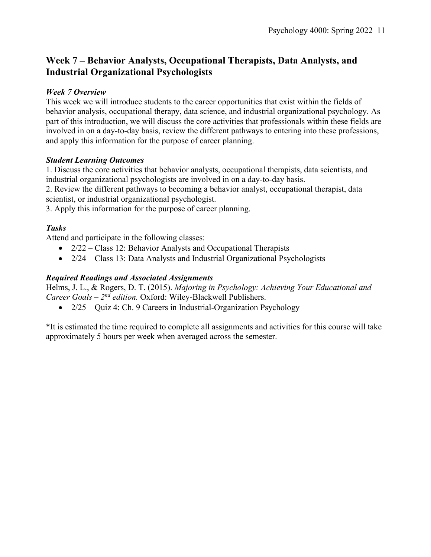# **Week 7 – Behavior Analysts, Occupational Therapists, Data Analysts, and Industrial Organizational Psychologists**

### *Week 7 Overview*

This week we will introduce students to the career opportunities that exist within the fields of behavior analysis, occupational therapy, data science, and industrial organizational psychology. As part of this introduction, we will discuss the core activities that professionals within these fields are involved in on a day-to-day basis, review the different pathways to entering into these professions, and apply this information for the purpose of career planning.

### *Student Learning Outcomes*

1. Discuss the core activities that behavior analysts, occupational therapists, data scientists, and industrial organizational psychologists are involved in on a day-to-day basis.

2. Review the different pathways to becoming a behavior analyst, occupational therapist, data scientist, or industrial organizational psychologist.

3. Apply this information for the purpose of career planning.

### *Tasks*

Attend and participate in the following classes:

- 2/22 Class 12: Behavior Analysts and Occupational Therapists
- 2/24 Class 13: Data Analysts and Industrial Organizational Psychologists

### *Required Readings and Associated Assignments*

Helms, J. L., & Rogers, D. T. (2015). *Majoring in Psychology: Achieving Your Educational and Career Goals – 2nd edition.* Oxford: Wiley-Blackwell Publishers.

•  $2/25 - Quiz$  4: Ch. 9 Careers in Industrial-Organization Psychology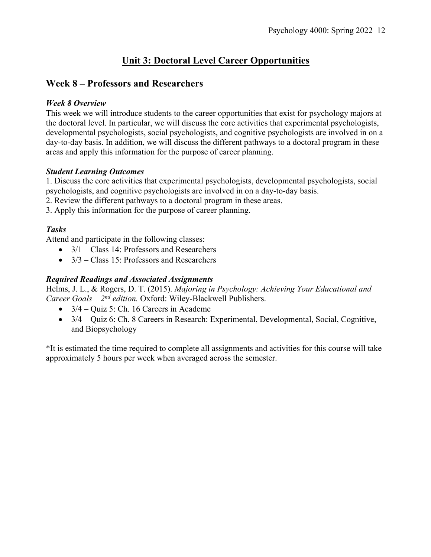# **Unit 3: Doctoral Level Career Opportunities**

# **Week 8 – Professors and Researchers**

### *Week 8 Overview*

This week we will introduce students to the career opportunities that exist for psychology majors at the doctoral level. In particular, we will discuss the core activities that experimental psychologists, developmental psychologists, social psychologists, and cognitive psychologists are involved in on a day-to-day basis. In addition, we will discuss the different pathways to a doctoral program in these areas and apply this information for the purpose of career planning.

### *Student Learning Outcomes*

1. Discuss the core activities that experimental psychologists, developmental psychologists, social psychologists, and cognitive psychologists are involved in on a day-to-day basis.

2. Review the different pathways to a doctoral program in these areas.

3. Apply this information for the purpose of career planning.

## *Tasks*

Attend and participate in the following classes:

- $3/1$  Class 14: Professors and Researchers
- $3/3$  Class 15: Professors and Researchers

### *Required Readings and Associated Assignments*

Helms, J. L., & Rogers, D. T. (2015). *Majoring in Psychology: Achieving Your Educational and Career Goals – 2nd edition.* Oxford: Wiley-Blackwell Publishers.

- $\bullet$  3/4 Quiz 5: Ch. 16 Careers in Academe
- 3/4 Quiz 6: Ch. 8 Careers in Research: Experimental, Developmental, Social, Cognitive, and Biopsychology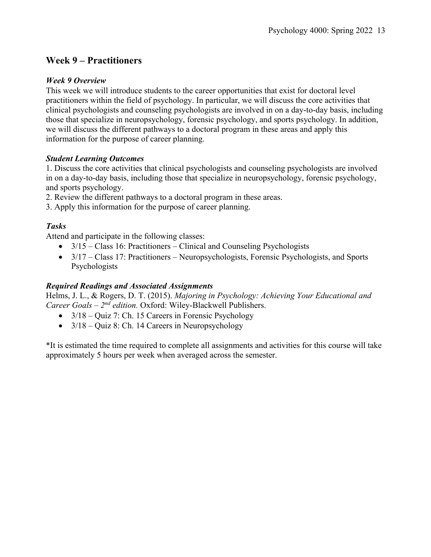# **Week 9 – Practitioners**

#### *Week 9 Overview*

This week we will introduce students to the career opportunities that exist for doctoral level practitioners within the field of psychology. In particular, we will discuss the core activities that clinical psychologists and counseling psychologists are involved in on a day-to-day basis, including those that specialize in neuropsychology, forensic psychology, and sports psychology. In addition, we will discuss the different pathways to a doctoral program in these areas and apply this information for the purpose of career planning.

### *Student Learning Outcomes*

1. Discuss the core activities that clinical psychologists and counseling psychologists are involved in on a day-to-day basis, including those that specialize in neuropsychology, forensic psychology, and sports psychology.

2. Review the different pathways to a doctoral program in these areas.

3. Apply this information for the purpose of career planning.

### *Tasks*

Attend and participate in the following classes:

- $3/15$  Class 16: Practitioners Clinical and Counseling Psychologists
- 3/17 Class 17: Practitioners Neuropsychologists, Forensic Psychologists, and Sports Psychologists

### *Required Readings and Associated Assignments*

Helms, J. L., & Rogers, D. T. (2015). *Majoring in Psychology: Achieving Your Educational and Career Goals – 2nd edition.* Oxford: Wiley-Blackwell Publishers.

- 3/18 Quiz 7: Ch. 15 Careers in Forensic Psychology
- $3/18 -$ Quiz 8: Ch. 14 Careers in Neuropsychology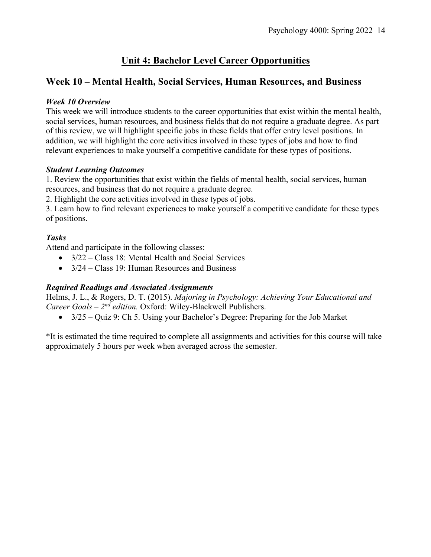# **Unit 4: Bachelor Level Career Opportunities**

# **Week 10 – Mental Health, Social Services, Human Resources, and Business**

#### *Week 10 Overview*

This week we will introduce students to the career opportunities that exist within the mental health, social services, human resources, and business fields that do not require a graduate degree. As part of this review, we will highlight specific jobs in these fields that offer entry level positions. In addition, we will highlight the core activities involved in these types of jobs and how to find relevant experiences to make yourself a competitive candidate for these types of positions.

### *Student Learning Outcomes*

1. Review the opportunities that exist within the fields of mental health, social services, human resources, and business that do not require a graduate degree.

2. Highlight the core activities involved in these types of jobs.

3. Learn how to find relevant experiences to make yourself a competitive candidate for these types of positions.

### *Tasks*

Attend and participate in the following classes:

- 3/22 Class 18: Mental Health and Social Services
- 3/24 Class 19: Human Resources and Business

### *Required Readings and Associated Assignments*

Helms, J. L., & Rogers, D. T. (2015). *Majoring in Psychology: Achieving Your Educational and Career Goals – 2nd edition.* Oxford: Wiley-Blackwell Publishers.

• 3/25 – Quiz 9: Ch 5. Using your Bachelor's Degree: Preparing for the Job Market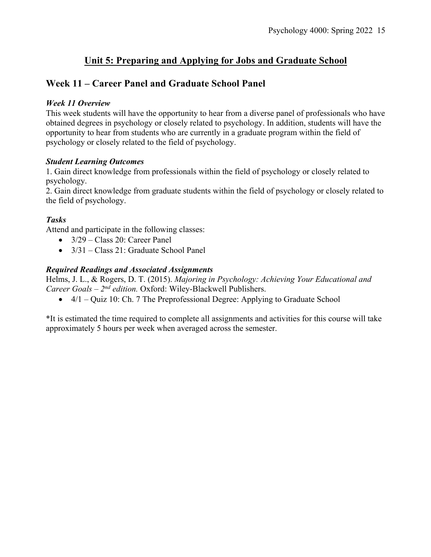# **Unit 5: Preparing and Applying for Jobs and Graduate School**

# **Week 11 – Career Panel and Graduate School Panel**

### *Week 11 Overview*

This week students will have the opportunity to hear from a diverse panel of professionals who have obtained degrees in psychology or closely related to psychology. In addition, students will have the opportunity to hear from students who are currently in a graduate program within the field of psychology or closely related to the field of psychology.

### *Student Learning Outcomes*

1. Gain direct knowledge from professionals within the field of psychology or closely related to psychology.

2. Gain direct knowledge from graduate students within the field of psychology or closely related to the field of psychology.

### *Tasks*

Attend and participate in the following classes:

- $3/29 Class 20$ : Career Panel
- 3/31 Class 21: Graduate School Panel

### *Required Readings and Associated Assignments*

Helms, J. L., & Rogers, D. T. (2015). *Majoring in Psychology: Achieving Your Educational and Career Goals – 2nd edition.* Oxford: Wiley-Blackwell Publishers.

 $\bullet$  4/1 – Quiz 10: Ch. 7 The Preprofessional Degree: Applying to Graduate School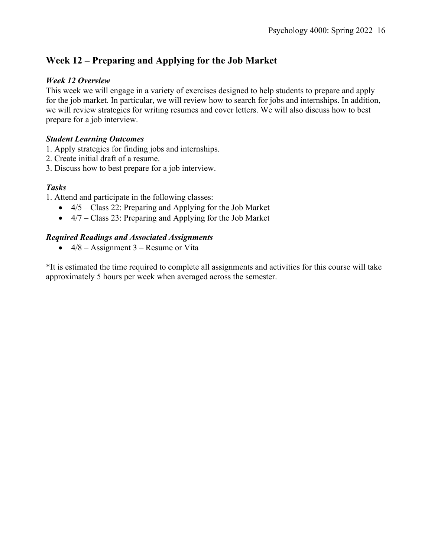# **Week 12 – Preparing and Applying for the Job Market**

### *Week 12 Overview*

This week we will engage in a variety of exercises designed to help students to prepare and apply for the job market. In particular, we will review how to search for jobs and internships. In addition, we will review strategies for writing resumes and cover letters. We will also discuss how to best prepare for a job interview.

#### *Student Learning Outcomes*

1. Apply strategies for finding jobs and internships.

- 2. Create initial draft of a resume.
- 3. Discuss how to best prepare for a job interview.

#### *Tasks*

1. Attend and participate in the following classes:

- 4/5 Class 22: Preparing and Applying for the Job Market
- 4/7 Class 23: Preparing and Applying for the Job Market

### *Required Readings and Associated Assignments*

•  $4/8$  – Assignment 3 – Resume or Vita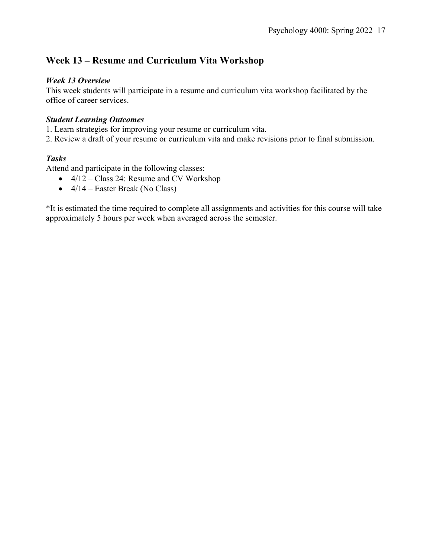# **Week 13 – Resume and Curriculum Vita Workshop**

### *Week 13 Overview*

This week students will participate in a resume and curriculum vita workshop facilitated by the office of career services.

### *Student Learning Outcomes*

1. Learn strategies for improving your resume or curriculum vita.

2. Review a draft of your resume or curriculum vita and make revisions prior to final submission.

### *Tasks*

Attend and participate in the following classes:

- 4/12 Class 24: Resume and CV Workshop
- $4/14$  Easter Break (No Class)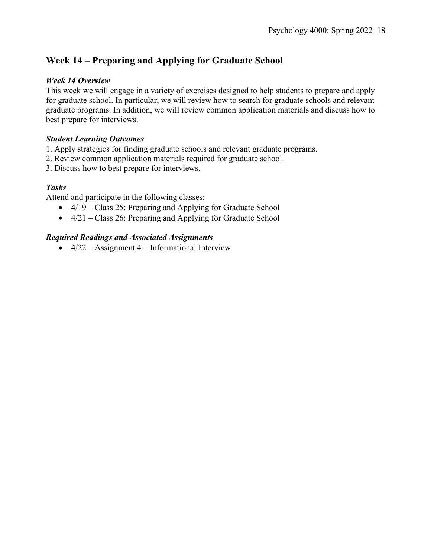# **Week 14 – Preparing and Applying for Graduate School**

### *Week 14 Overview*

This week we will engage in a variety of exercises designed to help students to prepare and apply for graduate school. In particular, we will review how to search for graduate schools and relevant graduate programs. In addition, we will review common application materials and discuss how to best prepare for interviews.

#### *Student Learning Outcomes*

- 1. Apply strategies for finding graduate schools and relevant graduate programs.
- 2. Review common application materials required for graduate school.
- 3. Discuss how to best prepare for interviews.

### *Tasks*

Attend and participate in the following classes:

- 4/19 Class 25: Preparing and Applying for Graduate School
- 4/21 Class 26: Preparing and Applying for Graduate School

### *Required Readings and Associated Assignments*

•  $4/22 -$  Assignment 4 – Informational Interview